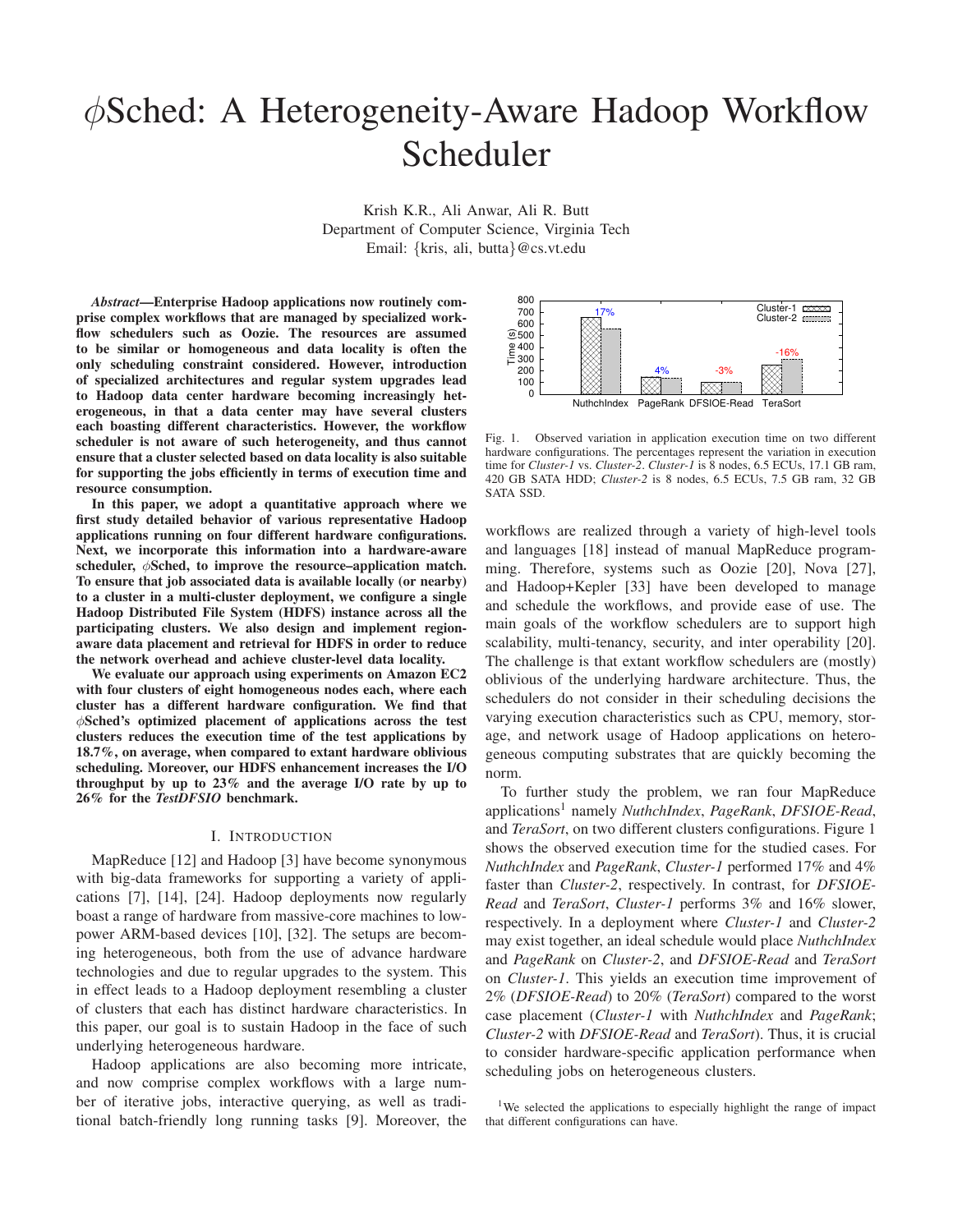# φSched: A Heterogeneity-Aware Hadoop Workflow Scheduler

Krish K.R., Ali Anwar, Ali R. Butt Department of Computer Science, Virginia Tech Email: {kris, ali, butta}@cs.vt.edu

*Abstract***—Enterprise Hadoop applications now routinely comprise complex workflows that are managed by specialized workflow schedulers such as Oozie. The resources are assumed to be similar or homogeneous and data locality is often the only scheduling constraint considered. However, introduction of specialized architectures and regular system upgrades lead to Hadoop data center hardware becoming increasingly heterogeneous, in that a data center may have several clusters each boasting different characteristics. However, the workflow scheduler is not aware of such heterogeneity, and thus cannot ensure that a cluster selected based on data locality is also suitable for supporting the jobs efficiently in terms of execution time and resource consumption.**

**In this paper, we adopt a quantitative approach where we first study detailed behavior of various representative Hadoop applications running on four different hardware configurations. Next, we incorporate this information into a hardware-aware scheduler,** φ**Sched, to improve the resource–application match. To ensure that job associated data is available locally (or nearby) to a cluster in a multi-cluster deployment, we configure a single Hadoop Distributed File System (HDFS) instance across all the participating clusters. We also design and implement regionaware data placement and retrieval for HDFS in order to reduce the network overhead and achieve cluster-level data locality.**

**We evaluate our approach using experiments on Amazon EC2 with four clusters of eight homogeneous nodes each, where each cluster has a different hardware configuration. We find that** φ**Sched's optimized placement of applications across the test clusters reduces the execution time of the test applications by 18.7%, on average, when compared to extant hardware oblivious scheduling. Moreover, our HDFS enhancement increases the I/O throughput by up to 23% and the average I/O rate by up to 26% for the** *TestDFSIO* **benchmark.**

#### I. INTRODUCTION

MapReduce [12] and Hadoop [3] have become synonymous with big-data frameworks for supporting a variety of applications [7], [14], [24]. Hadoop deployments now regularly boast a range of hardware from massive-core machines to lowpower ARM-based devices [10], [32]. The setups are becoming heterogeneous, both from the use of advance hardware technologies and due to regular upgrades to the system. This in effect leads to a Hadoop deployment resembling a cluster of clusters that each has distinct hardware characteristics. In this paper, our goal is to sustain Hadoop in the face of such underlying heterogeneous hardware.

Hadoop applications are also becoming more intricate, and now comprise complex workflows with a large number of iterative jobs, interactive querying, as well as traditional batch-friendly long running tasks [9]. Moreover, the



Fig. 1. Observed variation in application execution time on two different hardware configurations. The percentages represent the variation in execution time for *Cluster-1* vs. *Cluster-2*. *Cluster-1* is 8 nodes, 6.5 ECUs, 17.1 GB ram, 420 GB SATA HDD; *Cluster-2* is 8 nodes, 6.5 ECUs, 7.5 GB ram, 32 GB SATA SSD.

workflows are realized through a variety of high-level tools and languages [18] instead of manual MapReduce programming. Therefore, systems such as Oozie [20], Nova [27], and Hadoop+Kepler [33] have been developed to manage and schedule the workflows, and provide ease of use. The main goals of the workflow schedulers are to support high scalability, multi-tenancy, security, and inter operability [20]. The challenge is that extant workflow schedulers are (mostly) oblivious of the underlying hardware architecture. Thus, the schedulers do not consider in their scheduling decisions the varying execution characteristics such as CPU, memory, storage, and network usage of Hadoop applications on heterogeneous computing substrates that are quickly becoming the norm.

To further study the problem, we ran four MapReduce applications<sup>1</sup> namely *NuthchIndex*, *PageRank*, *DFSIOE-Read*, and *TeraSort*, on two different clusters configurations. Figure 1 shows the observed execution time for the studied cases. For *NuthchIndex* and *PageRank*, *Cluster-1* performed 17% and 4% faster than *Cluster-2*, respectively. In contrast, for *DFSIOE-Read* and *TeraSort*, *Cluster-1* performs 3% and 16% slower, respectively. In a deployment where *Cluster-1* and *Cluster-2* may exist together, an ideal schedule would place *NuthchIndex* and *PageRank* on *Cluster-2*, and *DFSIOE-Read* and *TeraSort* on *Cluster-1*. This yields an execution time improvement of 2% (*DFSIOE-Read*) to 20% (*TeraSort*) compared to the worst case placement (*Cluster-1* with *NuthchIndex* and *PageRank*; *Cluster-2* with *DFSIOE-Read* and *TeraSort*). Thus, it is crucial to consider hardware-specific application performance when scheduling jobs on heterogeneous clusters.

<sup>1</sup>We selected the applications to especially highlight the range of impact that different configurations can have.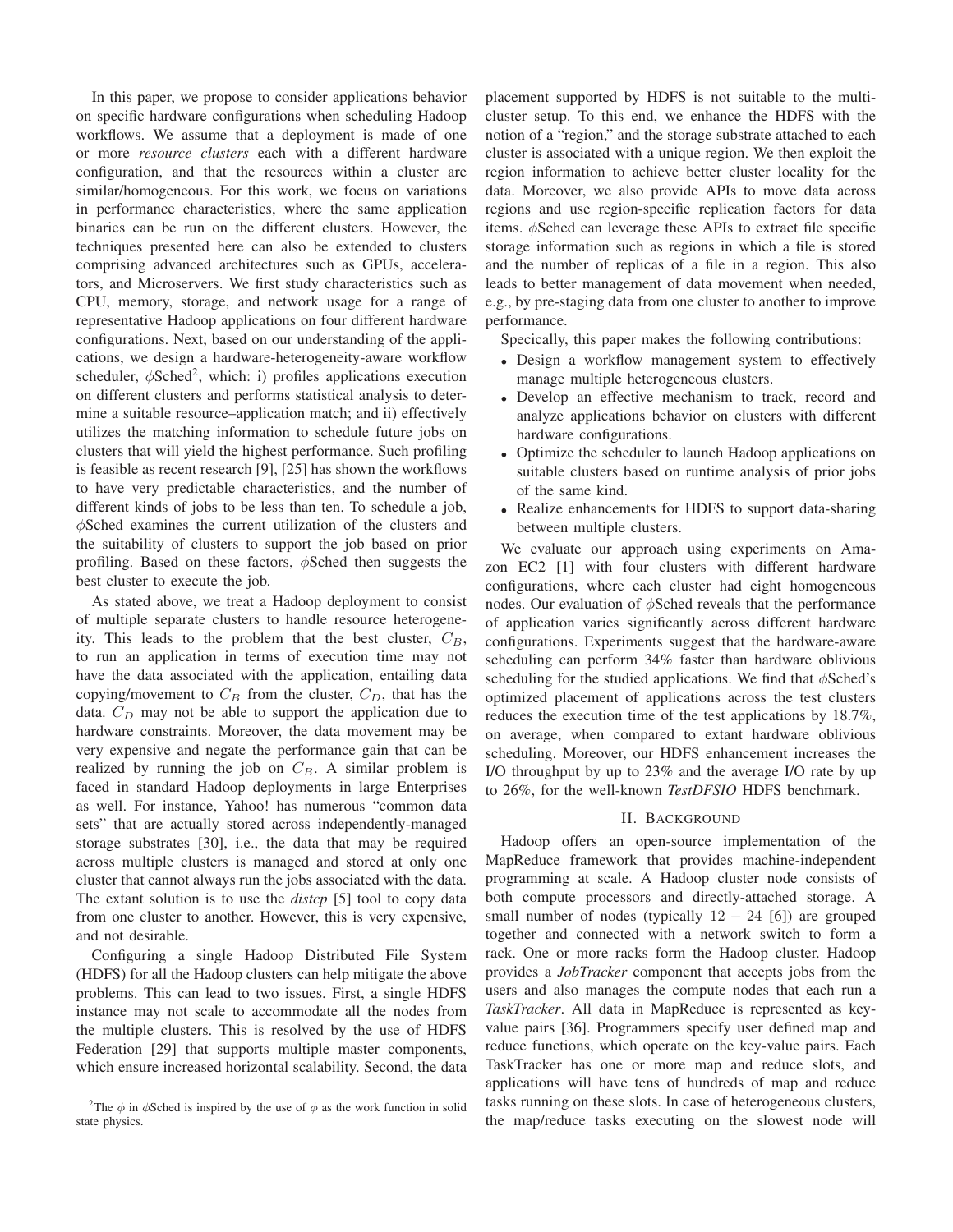In this paper, we propose to consider applications behavior on specific hardware configurations when scheduling Hadoop workflows. We assume that a deployment is made of one or more *resource clusters* each with a different hardware configuration, and that the resources within a cluster are similar/homogeneous. For this work, we focus on variations in performance characteristics, where the same application binaries can be run on the different clusters. However, the techniques presented here can also be extended to clusters comprising advanced architectures such as GPUs, accelerators, and Microservers. We first study characteristics such as CPU, memory, storage, and network usage for a range of representative Hadoop applications on four different hardware configurations. Next, based on our understanding of the applications, we design a hardware-heterogeneity-aware workflow scheduler,  $\phi$ Sched<sup>2</sup>, which: i) profiles applications execution on different clusters and performs statistical analysis to determine a suitable resource–application match; and ii) effectively utilizes the matching information to schedule future jobs on clusters that will yield the highest performance. Such profiling is feasible as recent research [9], [25] has shown the workflows to have very predictable characteristics, and the number of different kinds of jobs to be less than ten. To schedule a job, φSched examines the current utilization of the clusters and the suitability of clusters to support the job based on prior profiling. Based on these factors,  $\phi$ Sched then suggests the best cluster to execute the job.

As stated above, we treat a Hadoop deployment to consist of multiple separate clusters to handle resource heterogeneity. This leads to the problem that the best cluster,  $C_B$ , to run an application in terms of execution time may not have the data associated with the application, entailing data copying/movement to  $C_B$  from the cluster,  $C_D$ , that has the data.  $C_D$  may not be able to support the application due to hardware constraints. Moreover, the data movement may be very expensive and negate the performance gain that can be realized by running the job on  $C_B$ . A similar problem is faced in standard Hadoop deployments in large Enterprises as well. For instance, Yahoo! has numerous "common data sets" that are actually stored across independently-managed storage substrates [30], i.e., the data that may be required across multiple clusters is managed and stored at only one cluster that cannot always run the jobs associated with the data. The extant solution is to use the *distcp* [5] tool to copy data from one cluster to another. However, this is very expensive, and not desirable.

Configuring a single Hadoop Distributed File System (HDFS) for all the Hadoop clusters can help mitigate the above problems. This can lead to two issues. First, a single HDFS instance may not scale to accommodate all the nodes from the multiple clusters. This is resolved by the use of HDFS Federation [29] that supports multiple master components, which ensure increased horizontal scalability. Second, the data placement supported by HDFS is not suitable to the multicluster setup. To this end, we enhance the HDFS with the notion of a "region," and the storage substrate attached to each cluster is associated with a unique region. We then exploit the region information to achieve better cluster locality for the data. Moreover, we also provide APIs to move data across regions and use region-specific replication factors for data items. φSched can leverage these APIs to extract file specific storage information such as regions in which a file is stored and the number of replicas of a file in a region. This also leads to better management of data movement when needed, e.g., by pre-staging data from one cluster to another to improve performance.

Specically, this paper makes the following contributions:

- Design a workflow management system to effectively manage multiple heterogeneous clusters.
- Develop an effective mechanism to track, record and analyze applications behavior on clusters with different hardware configurations.
- Optimize the scheduler to launch Hadoop applications on suitable clusters based on runtime analysis of prior jobs of the same kind.
- Realize enhancements for HDFS to support data-sharing between multiple clusters.

We evaluate our approach using experiments on Amazon EC2 [1] with four clusters with different hardware configurations, where each cluster had eight homogeneous nodes. Our evaluation of  $\phi$ Sched reveals that the performance of application varies significantly across different hardware configurations. Experiments suggest that the hardware-aware scheduling can perform 34% faster than hardware oblivious scheduling for the studied applications. We find that  $\phi$ Sched's optimized placement of applications across the test clusters reduces the execution time of the test applications by 18.7%, on average, when compared to extant hardware oblivious scheduling. Moreover, our HDFS enhancement increases the I/O throughput by up to 23% and the average I/O rate by up to 26%, for the well-known *TestDFSIO* HDFS benchmark.

## II. BACKGROUND

Hadoop offers an open-source implementation of the MapReduce framework that provides machine-independent programming at scale. A Hadoop cluster node consists of both compute processors and directly-attached storage. A small number of nodes (typically  $12 - 24$  [6]) are grouped together and connected with a network switch to form a rack. One or more racks form the Hadoop cluster. Hadoop provides a *JobTracker* component that accepts jobs from the users and also manages the compute nodes that each run a *TaskTracker*. All data in MapReduce is represented as keyvalue pairs [36]. Programmers specify user defined map and reduce functions, which operate on the key-value pairs. Each TaskTracker has one or more map and reduce slots, and applications will have tens of hundreds of map and reduce tasks running on these slots. In case of heterogeneous clusters, the map/reduce tasks executing on the slowest node will

<sup>&</sup>lt;sup>2</sup>The  $\phi$  in  $\phi$ Sched is inspired by the use of  $\phi$  as the work function in solid state physics.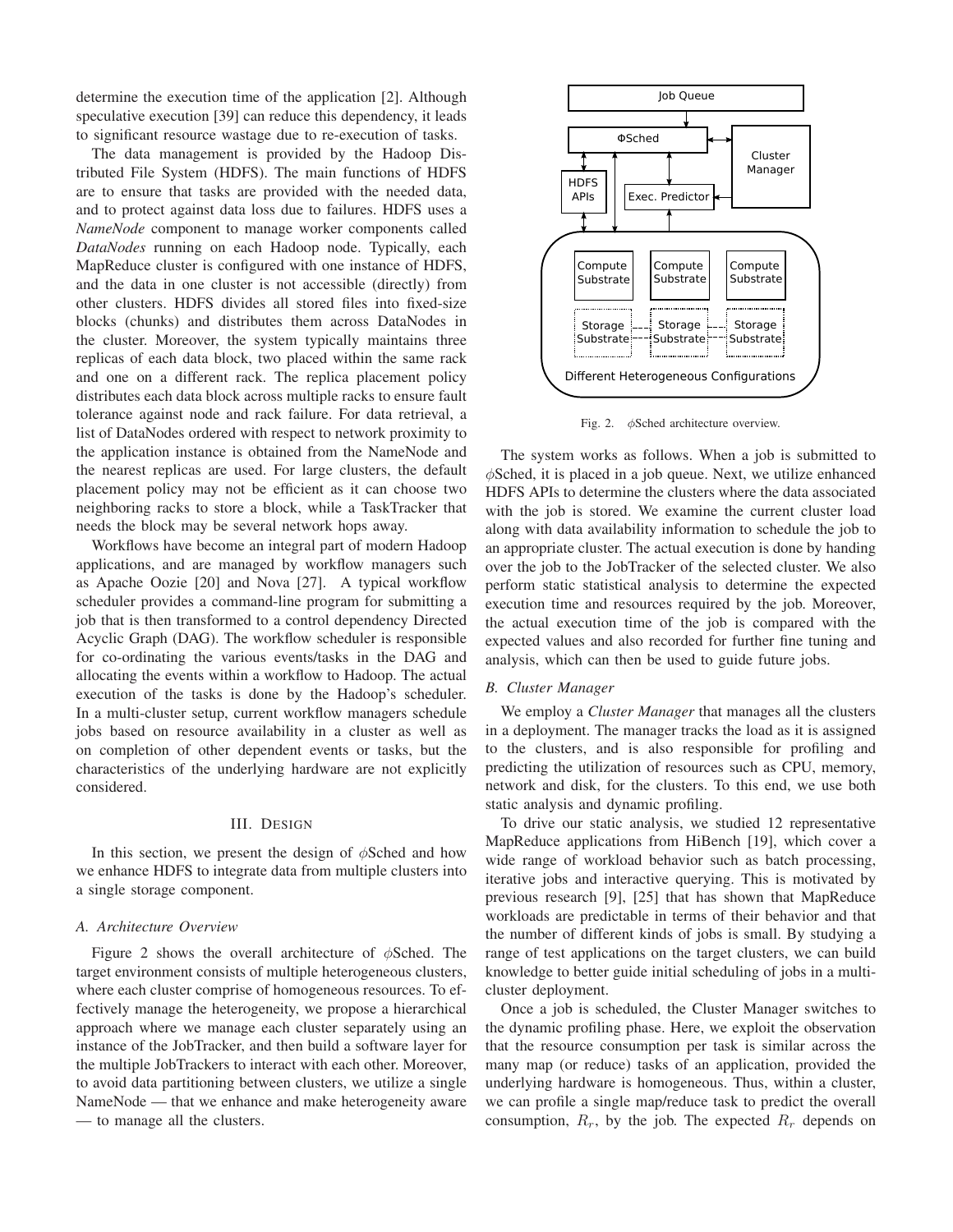determine the execution time of the application [2]. Although speculative execution [39] can reduce this dependency, it leads to significant resource wastage due to re-execution of tasks.

The data management is provided by the Hadoop Distributed File System (HDFS). The main functions of HDFS are to ensure that tasks are provided with the needed data, and to protect against data loss due to failures. HDFS uses a *NameNode* component to manage worker components called *DataNodes* running on each Hadoop node. Typically, each MapReduce cluster is configured with one instance of HDFS, and the data in one cluster is not accessible (directly) from other clusters. HDFS divides all stored files into fixed-size blocks (chunks) and distributes them across DataNodes in the cluster. Moreover, the system typically maintains three replicas of each data block, two placed within the same rack and one on a different rack. The replica placement policy distributes each data block across multiple racks to ensure fault tolerance against node and rack failure. For data retrieval, a list of DataNodes ordered with respect to network proximity to the application instance is obtained from the NameNode and the nearest replicas are used. For large clusters, the default placement policy may not be efficient as it can choose two neighboring racks to store a block, while a TaskTracker that needs the block may be several network hops away.

Workflows have become an integral part of modern Hadoop applications, and are managed by workflow managers such as Apache Oozie [20] and Nova [27]. A typical workflow scheduler provides a command-line program for submitting a job that is then transformed to a control dependency Directed Acyclic Graph (DAG). The workflow scheduler is responsible for co-ordinating the various events/tasks in the DAG and allocating the events within a workflow to Hadoop. The actual execution of the tasks is done by the Hadoop's scheduler. In a multi-cluster setup, current workflow managers schedule jobs based on resource availability in a cluster as well as on completion of other dependent events or tasks, but the characteristics of the underlying hardware are not explicitly considered.

#### III. DESIGN

In this section, we present the design of  $\phi$ Sched and how we enhance HDFS to integrate data from multiple clusters into a single storage component.

#### *A. Architecture Overview*

Figure 2 shows the overall architecture of  $\phi$ Sched. The target environment consists of multiple heterogeneous clusters, where each cluster comprise of homogeneous resources. To effectively manage the heterogeneity, we propose a hierarchical approach where we manage each cluster separately using an instance of the JobTracker, and then build a software layer for the multiple JobTrackers to interact with each other. Moreover, to avoid data partitioning between clusters, we utilize a single NameNode — that we enhance and make heterogeneity aware — to manage all the clusters.



Fig. 2. φSched architecture overview.

The system works as follows. When a job is submitted to  $\phi$ Sched, it is placed in a job queue. Next, we utilize enhanced HDFS APIs to determine the clusters where the data associated with the job is stored. We examine the current cluster load along with data availability information to schedule the job to an appropriate cluster. The actual execution is done by handing over the job to the JobTracker of the selected cluster. We also perform static statistical analysis to determine the expected execution time and resources required by the job. Moreover, the actual execution time of the job is compared with the expected values and also recorded for further fine tuning and analysis, which can then be used to guide future jobs.

## *B. Cluster Manager*

We employ a *Cluster Manager* that manages all the clusters in a deployment. The manager tracks the load as it is assigned to the clusters, and is also responsible for profiling and predicting the utilization of resources such as CPU, memory, network and disk, for the clusters. To this end, we use both static analysis and dynamic profiling.

To drive our static analysis, we studied 12 representative MapReduce applications from HiBench [19], which cover a wide range of workload behavior such as batch processing, iterative jobs and interactive querying. This is motivated by previous research [9], [25] that has shown that MapReduce workloads are predictable in terms of their behavior and that the number of different kinds of jobs is small. By studying a range of test applications on the target clusters, we can build knowledge to better guide initial scheduling of jobs in a multicluster deployment.

Once a job is scheduled, the Cluster Manager switches to the dynamic profiling phase. Here, we exploit the observation that the resource consumption per task is similar across the many map (or reduce) tasks of an application, provided the underlying hardware is homogeneous. Thus, within a cluster, we can profile a single map/reduce task to predict the overall consumption,  $R_r$ , by the job. The expected  $R_r$  depends on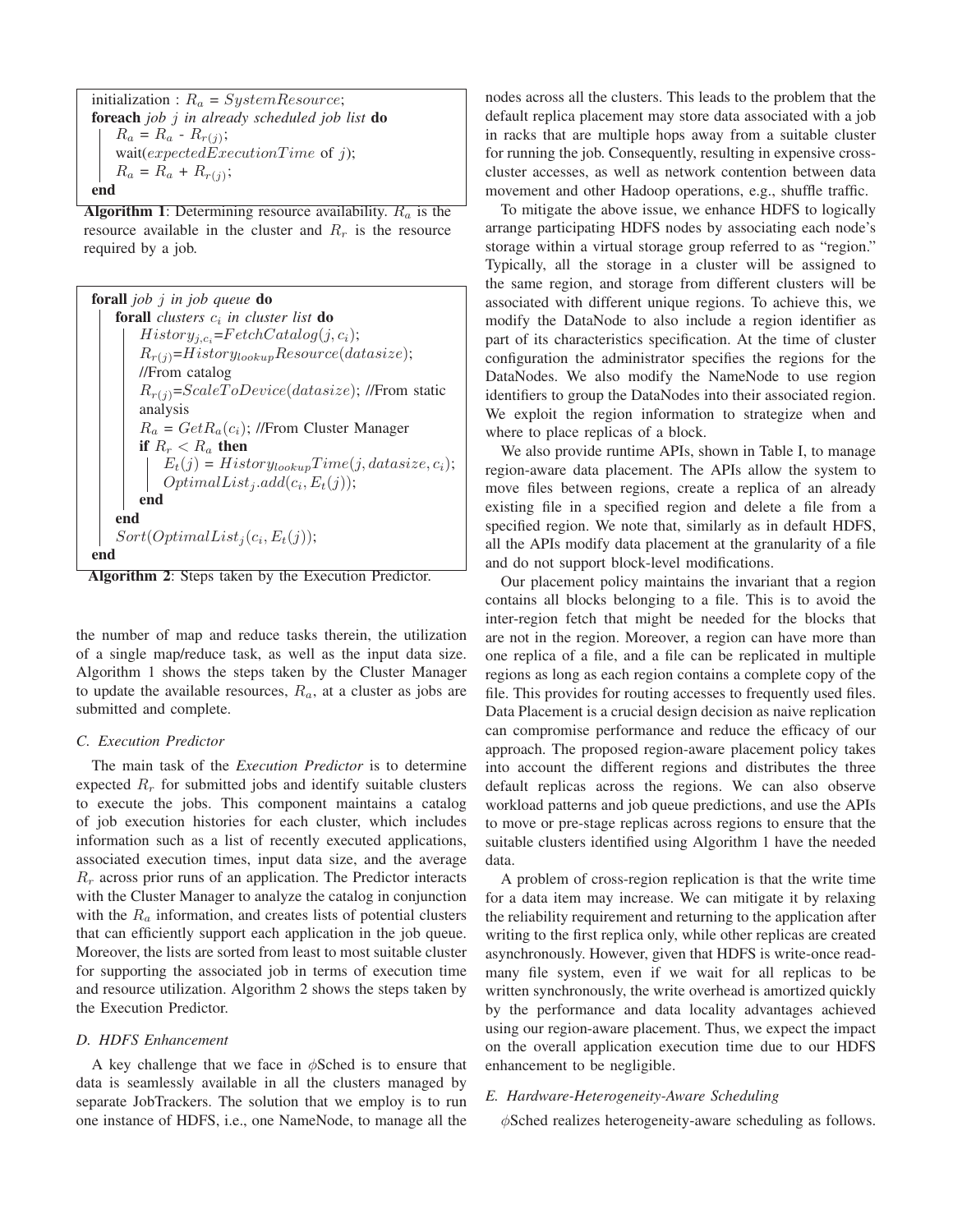initialization :  $R_a = SystemResource;$ **foreach** *job* j *in already scheduled job list* **do**  $R_a = R_a - R_{r(j)};$ wait $(expectedExceptionTime$  of j);  $R_a = R_a + R_{r(j)};$ **end**

**Algorithm 1**: Determining resource availability.  $R_a$  is the resource available in the cluster and  $R_r$  is the resource required by a job.

| <b>forall</b> job <i>i</i> in job queue <b>do</b>                 |
|-------------------------------------------------------------------|
| <b>forall</b> clusters $c_i$ in cluster list <b>do</b>            |
| $History_{i,c_i} = FetchCatalog(j, c_i);$                         |
| $R_{r(j)} = History_{lookup} Resource(data size);$                |
| //From catalog                                                    |
| $R_{r(i)}$ =ScaleToDevice(datasize); //From static                |
| analysis                                                          |
| $R_a = GetR_a(c_i);$ //From Cluster Manager                       |
| if $R_r < R_a$ then                                               |
| $E_t(j) = History_{lookup} Time(j, data size, c_i); \label{eq:1}$ |
| $OptimalList_j.add(c_i, E_t(j));$                                 |
| end                                                               |
| end                                                               |
| $Sort(OptimalList_i(c_i, E_t(j));$                                |
|                                                                   |

**Algorithm 2**: Steps taken by the Execution Predictor.

the number of map and reduce tasks therein, the utilization of a single map/reduce task, as well as the input data size. Algorithm 1 shows the steps taken by the Cluster Manager to update the available resources,  $R_a$ , at a cluster as jobs are submitted and complete.

## *C. Execution Predictor*

The main task of the *Execution Predictor* is to determine expected  $R_r$  for submitted jobs and identify suitable clusters to execute the jobs. This component maintains a catalog of job execution histories for each cluster, which includes information such as a list of recently executed applications, associated execution times, input data size, and the average  $R<sub>r</sub>$  across prior runs of an application. The Predictor interacts with the Cluster Manager to analyze the catalog in conjunction with the  $R_a$  information, and creates lists of potential clusters that can efficiently support each application in the job queue. Moreover, the lists are sorted from least to most suitable cluster for supporting the associated job in terms of execution time and resource utilization. Algorithm 2 shows the steps taken by the Execution Predictor.

## *D. HDFS Enhancement*

A key challenge that we face in  $\phi$ Sched is to ensure that data is seamlessly available in all the clusters managed by separate JobTrackers. The solution that we employ is to run one instance of HDFS, i.e., one NameNode, to manage all the nodes across all the clusters. This leads to the problem that the default replica placement may store data associated with a job in racks that are multiple hops away from a suitable cluster for running the job. Consequently, resulting in expensive crosscluster accesses, as well as network contention between data movement and other Hadoop operations, e.g., shuffle traffic.

To mitigate the above issue, we enhance HDFS to logically arrange participating HDFS nodes by associating each node's storage within a virtual storage group referred to as "region." Typically, all the storage in a cluster will be assigned to the same region, and storage from different clusters will be associated with different unique regions. To achieve this, we modify the DataNode to also include a region identifier as part of its characteristics specification. At the time of cluster configuration the administrator specifies the regions for the DataNodes. We also modify the NameNode to use region identifiers to group the DataNodes into their associated region. We exploit the region information to strategize when and where to place replicas of a block.

We also provide runtime APIs, shown in Table I, to manage region-aware data placement. The APIs allow the system to move files between regions, create a replica of an already existing file in a specified region and delete a file from a specified region. We note that, similarly as in default HDFS, all the APIs modify data placement at the granularity of a file and do not support block-level modifications.

Our placement policy maintains the invariant that a region contains all blocks belonging to a file. This is to avoid the inter-region fetch that might be needed for the blocks that are not in the region. Moreover, a region can have more than one replica of a file, and a file can be replicated in multiple regions as long as each region contains a complete copy of the file. This provides for routing accesses to frequently used files. Data Placement is a crucial design decision as naive replication can compromise performance and reduce the efficacy of our approach. The proposed region-aware placement policy takes into account the different regions and distributes the three default replicas across the regions. We can also observe workload patterns and job queue predictions, and use the APIs to move or pre-stage replicas across regions to ensure that the suitable clusters identified using Algorithm 1 have the needed data.

A problem of cross-region replication is that the write time for a data item may increase. We can mitigate it by relaxing the reliability requirement and returning to the application after writing to the first replica only, while other replicas are created asynchronously. However, given that HDFS is write-once readmany file system, even if we wait for all replicas to be written synchronously, the write overhead is amortized quickly by the performance and data locality advantages achieved using our region-aware placement. Thus, we expect the impact on the overall application execution time due to our HDFS enhancement to be negligible.

## *E. Hardware-Heterogeneity-Aware Scheduling*

φSched realizes heterogeneity-aware scheduling as follows.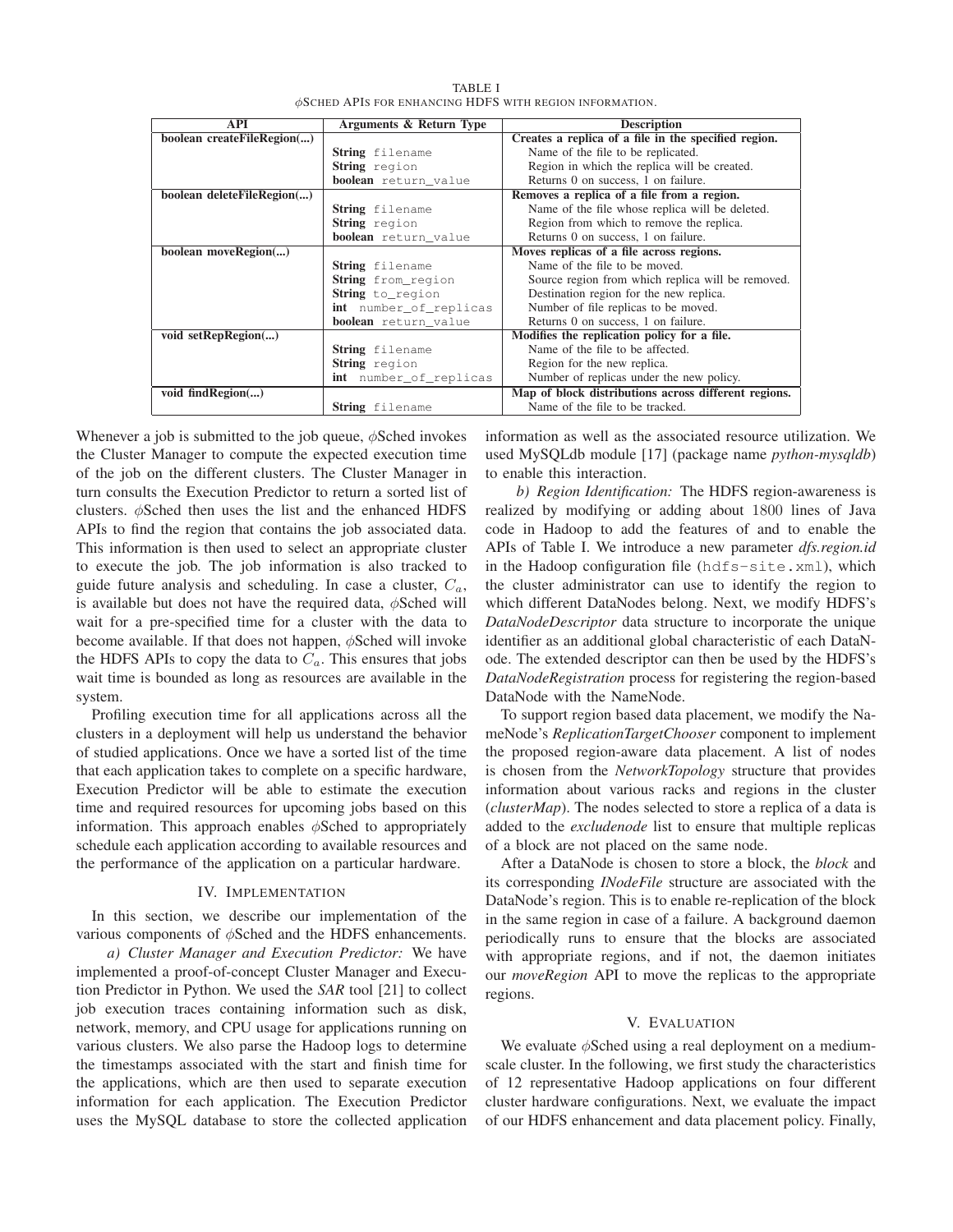| <b>API</b>                 | Arguments & Return Type     | <b>Description</b>                                   |  |  |
|----------------------------|-----------------------------|------------------------------------------------------|--|--|
| boolean createFileRegion() |                             | Creates a replica of a file in the specified region. |  |  |
|                            | <b>String</b> filename      | Name of the file to be replicated.                   |  |  |
|                            |                             |                                                      |  |  |
|                            | String region               | Region in which the replica will be created.         |  |  |
|                            | <b>boolean</b> return value | Returns 0 on success, 1 on failure.                  |  |  |
| boolean deleteFileRegion() |                             | Removes a replica of a file from a region.           |  |  |
|                            | <b>String</b> filename      | Name of the file whose replica will be deleted.      |  |  |
|                            | String region               | Region from which to remove the replica.             |  |  |
|                            | <b>boolean</b> return value | Returns 0 on success, 1 on failure.                  |  |  |
| boolean moveRegion()       |                             | Moves replicas of a file across regions.             |  |  |
|                            | String filename             | Name of the file to be moved.                        |  |  |
|                            | String from region          | Source region from which replica will be removed.    |  |  |
|                            | String to_region            | Destination region for the new replica.              |  |  |
|                            | int number_of_replicas      | Number of file replicas to be moved.                 |  |  |
|                            | boolean return_value        | Returns 0 on success, 1 on failure.                  |  |  |
| void setRepRegion()        |                             | Modifies the replication policy for a file.          |  |  |
|                            | String filename             | Name of the file to be affected.                     |  |  |
|                            | String region               | Region for the new replica.                          |  |  |
|                            | int number_of_replicas      | Number of replicas under the new policy.             |  |  |
| void findRegion()          |                             | Map of block distributions across different regions. |  |  |
|                            | <b>String</b> filename      | Name of the file to be tracked.                      |  |  |

TABLE I φSCHED APIS FOR ENHANCING HDFS WITH REGION INFORMATION.

Whenever a job is submitted to the job queue,  $\phi$ Sched invokes the Cluster Manager to compute the expected execution time of the job on the different clusters. The Cluster Manager in turn consults the Execution Predictor to return a sorted list of clusters. φSched then uses the list and the enhanced HDFS APIs to find the region that contains the job associated data. This information is then used to select an appropriate cluster to execute the job. The job information is also tracked to guide future analysis and scheduling. In case a cluster,  $C_a$ , is available but does not have the required data,  $\phi$ Sched will wait for a pre-specified time for a cluster with the data to become available. If that does not happen,  $\phi$ Sched will invoke the HDFS APIs to copy the data to  $C_a$ . This ensures that jobs wait time is bounded as long as resources are available in the system.

Profiling execution time for all applications across all the clusters in a deployment will help us understand the behavior of studied applications. Once we have a sorted list of the time that each application takes to complete on a specific hardware, Execution Predictor will be able to estimate the execution time and required resources for upcoming jobs based on this information. This approach enables  $\phi$ Sched to appropriately schedule each application according to available resources and the performance of the application on a particular hardware.

## IV. IMPLEMENTATION

In this section, we describe our implementation of the various components of φSched and the HDFS enhancements.

*a) Cluster Manager and Execution Predictor:* We have implemented a proof-of-concept Cluster Manager and Execution Predictor in Python. We used the *SAR* tool [21] to collect job execution traces containing information such as disk, network, memory, and CPU usage for applications running on various clusters. We also parse the Hadoop logs to determine the timestamps associated with the start and finish time for the applications, which are then used to separate execution information for each application. The Execution Predictor uses the MySQL database to store the collected application information as well as the associated resource utilization. We used MySQLdb module [17] (package name *python-mysqldb*) to enable this interaction.

*b) Region Identification:* The HDFS region-awareness is realized by modifying or adding about 1800 lines of Java code in Hadoop to add the features of and to enable the APIs of Table I. We introduce a new parameter *dfs.region.id* in the Hadoop configuration file (hdfs-site.xml), which the cluster administrator can use to identify the region to which different DataNodes belong. Next, we modify HDFS's *DataNodeDescriptor* data structure to incorporate the unique identifier as an additional global characteristic of each DataNode. The extended descriptor can then be used by the HDFS's *DataNodeRegistration* process for registering the region-based DataNode with the NameNode.

To support region based data placement, we modify the NameNode's *ReplicationTargetChooser* component to implement the proposed region-aware data placement. A list of nodes is chosen from the *NetworkTopology* structure that provides information about various racks and regions in the cluster (*clusterMap*). The nodes selected to store a replica of a data is added to the *excludenode* list to ensure that multiple replicas of a block are not placed on the same node.

After a DataNode is chosen to store a block, the *block* and its corresponding *INodeFile* structure are associated with the DataNode's region. This is to enable re-replication of the block in the same region in case of a failure. A background daemon periodically runs to ensure that the blocks are associated with appropriate regions, and if not, the daemon initiates our *moveRegion* API to move the replicas to the appropriate regions.

#### V. EVALUATION

We evaluate  $\phi$ Sched using a real deployment on a mediumscale cluster. In the following, we first study the characteristics of 12 representative Hadoop applications on four different cluster hardware configurations. Next, we evaluate the impact of our HDFS enhancement and data placement policy. Finally,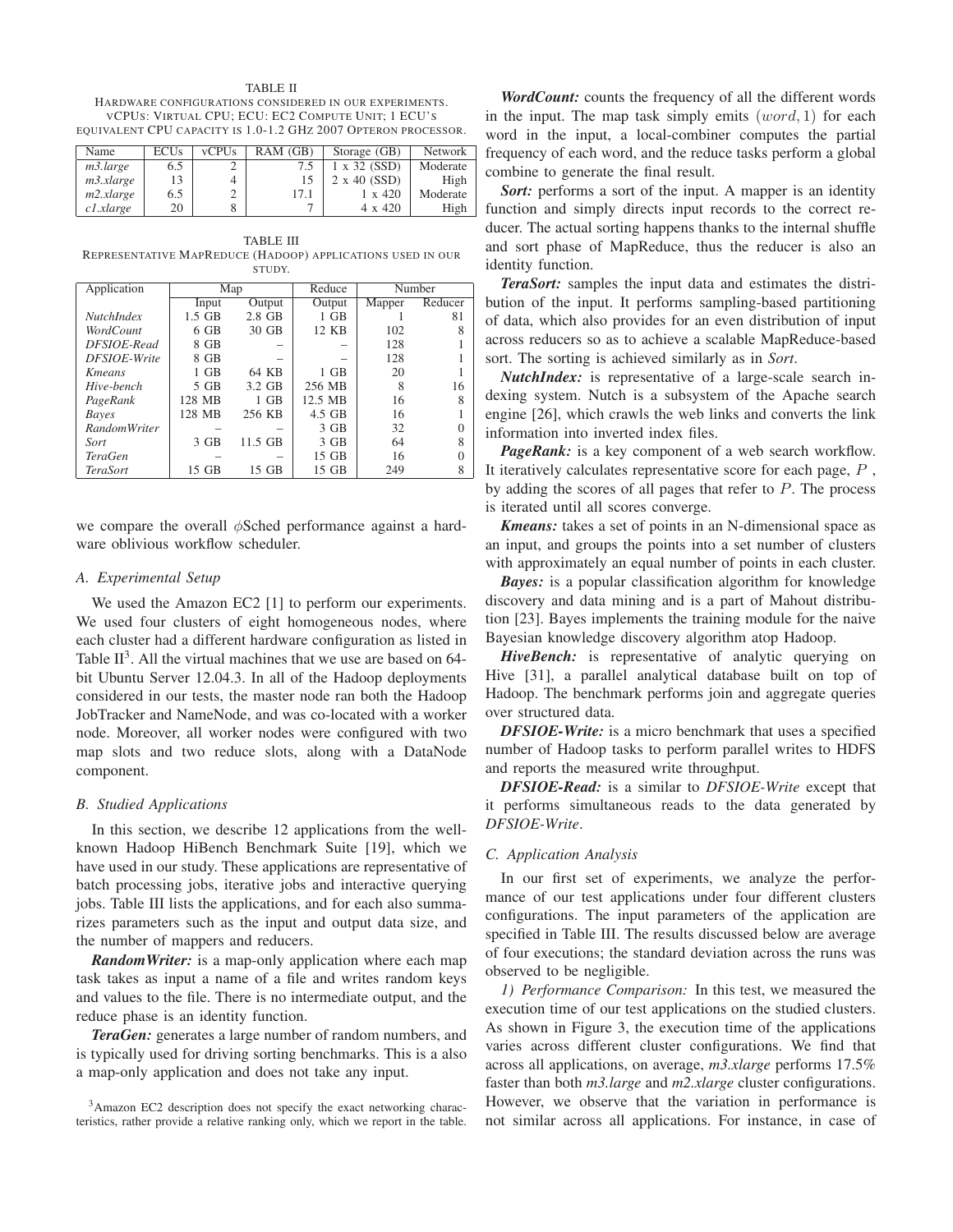TABLE II HARDWARE CONFIGURATIONS CONSIDERED IN OUR EXPERIMENTS. VCPUS: VIRTUAL CPU; ECU: EC2 COMPUTE UNIT; 1 ECU'S EQUIVALENT CPU CAPACITY IS 1.0-1.2 GHZ 2007 OPTERON PROCESSOR.

| Name               | <b>ECUs</b> | <b>vCPUs</b> | RAM(GB) | Storage (GB)        | <b>Network</b> |
|--------------------|-------------|--------------|---------|---------------------|----------------|
| m3.large           | 6.5         |              | 7.5     | $1 \times 32$ (SSD) | Moderate       |
| m3.xlarge          |             |              | 15      | $2 \times 40$ (SSD) | High           |
| m2.x large         | 6.5         |              | 17.1    | $1 \times 420$      | Moderate       |
| $c1$ <i>xlarge</i> | 20          |              |         | 4 x 420             | High           |

TABLE III REPRESENTATIVE MAPREDUCE (HADOOP) APPLICATIONS USED IN OUR STUDY.

| Application           | Map      |           | Reduce   | Number |         |
|-----------------------|----------|-----------|----------|--------|---------|
|                       | Input    | Output    | Output   | Mapper | Reducer |
| <b>NutchIndex</b>     | $1.5$ GB | $2.8$ GB  | $1$ GB   |        | 81      |
| WordCount             | $6$ GB   | 30 GB     | 12 KB    | 102    |         |
| DFSIOE-Read           | 8 GB     |           |          | 128    |         |
| <b>DFSIOE-Write</b>   | 8 GB     |           |          | 128    |         |
| <b>K</b> <i>means</i> | $1$ GB   | 64 KB     | $1$ GB   | 20     |         |
| Hive-bench            | 5 GB     | 3.2 GB    | 256 MB   |        | 16      |
| PageRank              | 128 MB   | $1$ GB    | 12.5 MB  | 16     |         |
| <b>Bayes</b>          | 128 MB   | 256 KB    | $4.5$ GB | 16     |         |
| <b>RandomWriter</b>   |          |           | $3$ GB   | 32     |         |
| Sort                  | $3$ GB   | $11.5$ GB | $3$ GB   | 64     |         |
| <b>TeraGen</b>        |          |           | 15 GB    | 16     |         |
| TeraSort              | 15 GB    | 15 GB     | 15 GB    | 249    | 8       |

we compare the overall  $\phi$ Sched performance against a hardware oblivious workflow scheduler.

#### *A. Experimental Setup*

We used the Amazon EC2 [1] to perform our experiments. We used four clusters of eight homogeneous nodes, where each cluster had a different hardware configuration as listed in Table  $II^3$ . All the virtual machines that we use are based on 64bit Ubuntu Server 12.04.3. In all of the Hadoop deployments considered in our tests, the master node ran both the Hadoop JobTracker and NameNode, and was co-located with a worker node. Moreover, all worker nodes were configured with two map slots and two reduce slots, along with a DataNode component.

## *B. Studied Applications*

In this section, we describe 12 applications from the wellknown Hadoop HiBench Benchmark Suite [19], which we have used in our study. These applications are representative of batch processing jobs, iterative jobs and interactive querying jobs. Table III lists the applications, and for each also summarizes parameters such as the input and output data size, and the number of mappers and reducers.

*RandomWriter:* is a map-only application where each map task takes as input a name of a file and writes random keys and values to the file. There is no intermediate output, and the reduce phase is an identity function.

*TeraGen:* generates a large number of random numbers, and is typically used for driving sorting benchmarks. This is a also a map-only application and does not take any input.

<sup>3</sup>Amazon EC2 description does not specify the exact networking characteristics, rather provide a relative ranking only, which we report in the table.

*WordCount:* counts the frequency of all the different words in the input. The map task simply emits  $(word, 1)$  for each word in the input, a local-combiner computes the partial frequency of each word, and the reduce tasks perform a global combine to generate the final result.

*Sort:* performs a sort of the input. A mapper is an identity function and simply directs input records to the correct reducer. The actual sorting happens thanks to the internal shuffle and sort phase of MapReduce, thus the reducer is also an identity function.

*TeraSort:* samples the input data and estimates the distribution of the input. It performs sampling-based partitioning of data, which also provides for an even distribution of input across reducers so as to achieve a scalable MapReduce-based sort. The sorting is achieved similarly as in *Sort*.

*NutchIndex:* is representative of a large-scale search indexing system. Nutch is a subsystem of the Apache search engine [26], which crawls the web links and converts the link information into inverted index files.

*PageRank:* is a key component of a web search workflow. It iteratively calculates representative score for each page, P , by adding the scores of all pages that refer to P. The process is iterated until all scores converge.

*Kmeans:* takes a set of points in an N-dimensional space as an input, and groups the points into a set number of clusters with approximately an equal number of points in each cluster.

*Bayes:* is a popular classification algorithm for knowledge discovery and data mining and is a part of Mahout distribution [23]. Bayes implements the training module for the naive Bayesian knowledge discovery algorithm atop Hadoop.

HiveBench: is representative of analytic querying on Hive [31], a parallel analytical database built on top of Hadoop. The benchmark performs join and aggregate queries over structured data.

*DFSIOE-Write:* is a micro benchmark that uses a specified number of Hadoop tasks to perform parallel writes to HDFS and reports the measured write throughput.

*DFSIOE-Read:* is a similar to *DFSIOE-Write* except that it performs simultaneous reads to the data generated by *DFSIOE-Write*.

#### *C. Application Analysis*

In our first set of experiments, we analyze the performance of our test applications under four different clusters configurations. The input parameters of the application are specified in Table III. The results discussed below are average of four executions; the standard deviation across the runs was observed to be negligible.

*1) Performance Comparison:* In this test, we measured the execution time of our test applications on the studied clusters. As shown in Figure 3, the execution time of the applications varies across different cluster configurations. We find that across all applications, on average, *m3.xlarge* performs 17.5% faster than both *m3.large* and *m2.xlarge* cluster configurations. However, we observe that the variation in performance is not similar across all applications. For instance, in case of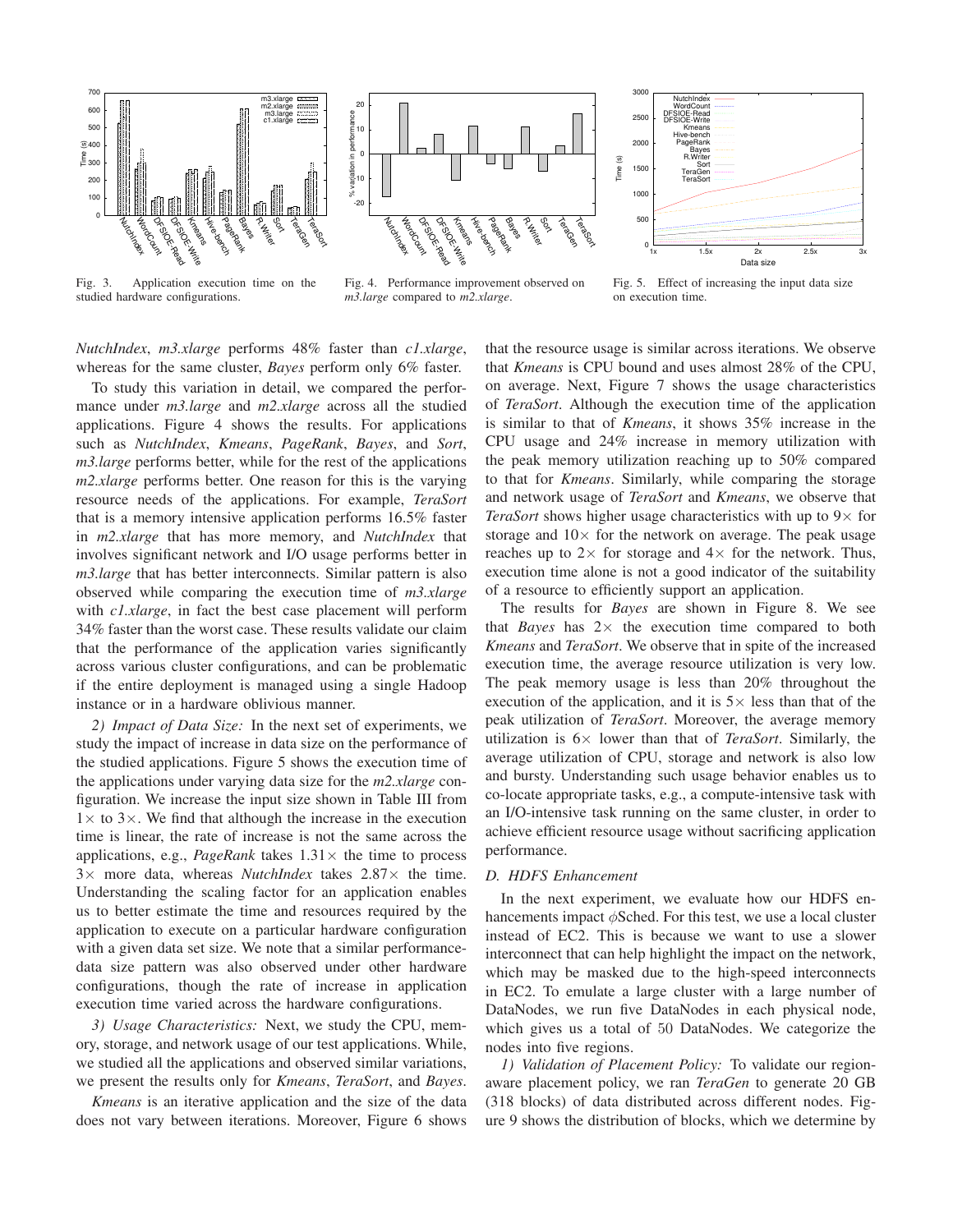

Fig. 3. Application execution time on the studied hardware configurations.





Fig. 4. Performance improvement observed on *m3.large* compared to *m2.xlarge*.

Fig. 5. Effect of increasing the input data size on execution time.

*NutchIndex*, *m3.xlarge* performs 48% faster than *c1.xlarge*, whereas for the same cluster, *Bayes* perform only 6% faster.

To study this variation in detail, we compared the performance under *m3.large* and *m2.xlarge* across all the studied applications. Figure 4 shows the results. For applications such as *NutchIndex*, *Kmeans*, *PageRank*, *Bayes*, and *Sort*, *m3.large* performs better, while for the rest of the applications *m2.xlarge* performs better. One reason for this is the varying resource needs of the applications. For example, *TeraSort* that is a memory intensive application performs 16.5% faster in *m2.xlarge* that has more memory, and *NutchIndex* that involves significant network and I/O usage performs better in *m3.large* that has better interconnects. Similar pattern is also observed while comparing the execution time of *m3.xlarge* with *c1.xlarge*, in fact the best case placement will perform 34% faster than the worst case. These results validate our claim that the performance of the application varies significantly across various cluster configurations, and can be problematic if the entire deployment is managed using a single Hadoop instance or in a hardware oblivious manner.

*2) Impact of Data Size:* In the next set of experiments, we study the impact of increase in data size on the performance of the studied applications. Figure 5 shows the execution time of the applications under varying data size for the *m2.xlarge* configuration. We increase the input size shown in Table III from  $1 \times$  to 3 $\times$ . We find that although the increase in the execution time is linear, the rate of increase is not the same across the applications, e.g., *PageRank* takes  $1.31 \times$  the time to process 3× more data, whereas *NutchIndex* takes 2.87× the time. Understanding the scaling factor for an application enables us to better estimate the time and resources required by the application to execute on a particular hardware configuration with a given data set size. We note that a similar performancedata size pattern was also observed under other hardware configurations, though the rate of increase in application execution time varied across the hardware configurations.

*3) Usage Characteristics:* Next, we study the CPU, memory, storage, and network usage of our test applications. While, we studied all the applications and observed similar variations, we present the results only for *Kmeans*, *TeraSort*, and *Bayes*.

*Kmeans* is an iterative application and the size of the data does not vary between iterations. Moreover, Figure 6 shows that the resource usage is similar across iterations. We observe that *Kmeans* is CPU bound and uses almost 28% of the CPU, on average. Next, Figure 7 shows the usage characteristics of *TeraSort*. Although the execution time of the application is similar to that of *Kmeans*, it shows 35% increase in the CPU usage and 24% increase in memory utilization with the peak memory utilization reaching up to 50% compared to that for *Kmeans*. Similarly, while comparing the storage and network usage of *TeraSort* and *Kmeans*, we observe that *TeraSort* shows higher usage characteristics with up to  $9 \times$  for storage and  $10\times$  for the network on average. The peak usage reaches up to  $2 \times$  for storage and  $4 \times$  for the network. Thus, execution time alone is not a good indicator of the suitability of a resource to efficiently support an application.

The results for *Bayes* are shown in Figure 8. We see that *Bayes* has  $2 \times$  the execution time compared to both *Kmeans* and *TeraSort*. We observe that in spite of the increased execution time, the average resource utilization is very low. The peak memory usage is less than 20% throughout the execution of the application, and it is  $5\times$  less than that of the peak utilization of *TeraSort*. Moreover, the average memory utilization is 6× lower than that of *TeraSort*. Similarly, the average utilization of CPU, storage and network is also low and bursty. Understanding such usage behavior enables us to co-locate appropriate tasks, e.g., a compute-intensive task with an I/O-intensive task running on the same cluster, in order to achieve efficient resource usage without sacrificing application performance.

## *D. HDFS Enhancement*

In the next experiment, we evaluate how our HDFS enhancements impact  $\phi$ Sched. For this test, we use a local cluster instead of EC2. This is because we want to use a slower interconnect that can help highlight the impact on the network, which may be masked due to the high-speed interconnects in EC2. To emulate a large cluster with a large number of DataNodes, we run five DataNodes in each physical node, which gives us a total of 50 DataNodes. We categorize the nodes into five regions.

*1) Validation of Placement Policy:* To validate our regionaware placement policy, we ran *TeraGen* to generate 20 GB (318 blocks) of data distributed across different nodes. Figure 9 shows the distribution of blocks, which we determine by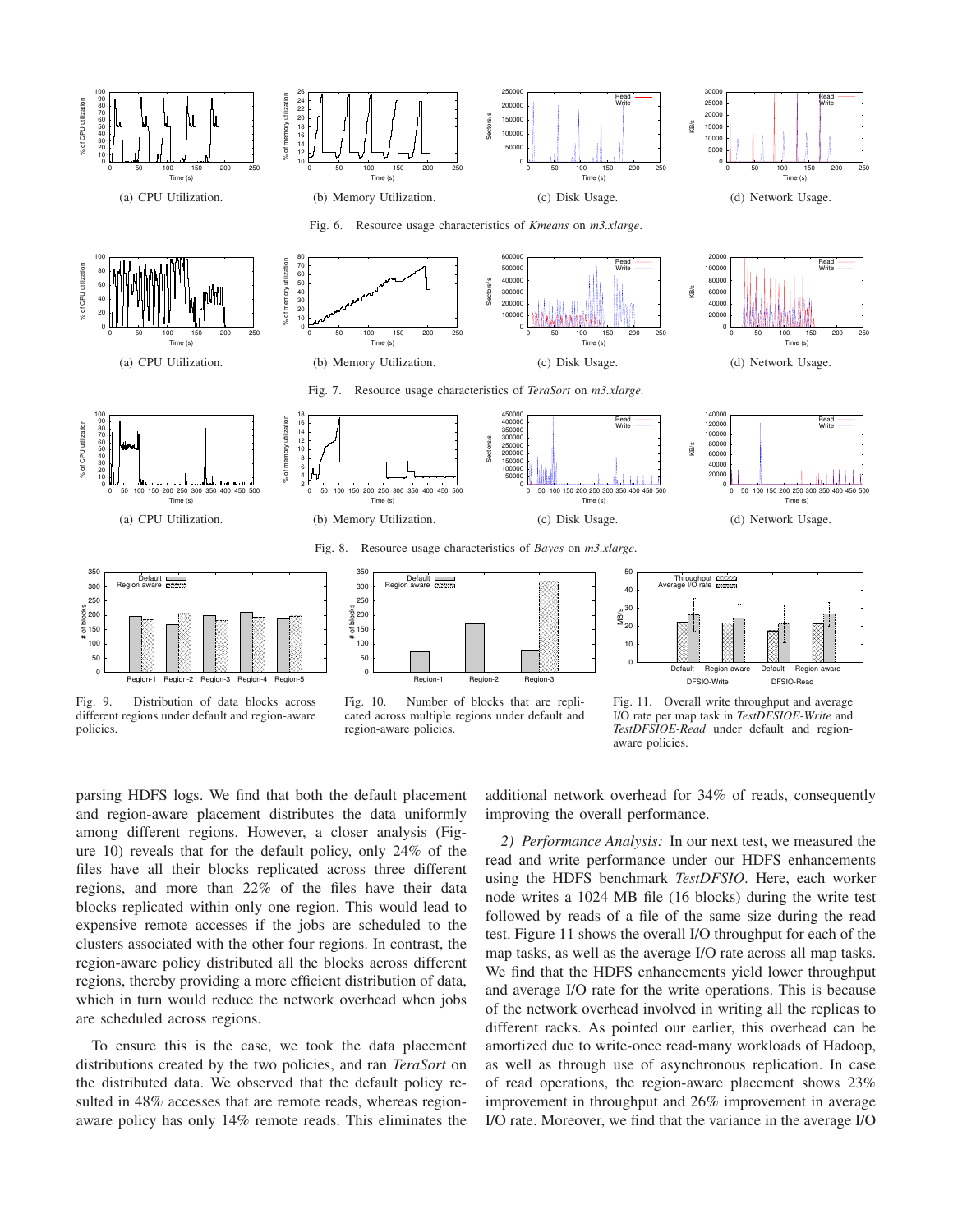





0 50 100 150 200 250

Read Write

T<sub>im</sub>

(d) Network Usage.

Fig. 6. Resource usage characteristics of *Kmeans* on *m3.xlarge*.



(a) CPU Utilization.



(a) CPU Utilization.



Fig. 7. Resource usage characteristics of *TeraSort* on *m3.xlarge*.



Read Write

Read Write





Fig. 9. Distribution of data blocks across different regions under default and region-aware policies.



Fig. 10. Number of blocks that are replicated across multiple regions under default and region-aware policies.



KB/s

Fig. 11. Overall write throughput and average I/O rate per map task in *TestDFSIOE-Write* and *TestDFSIOE-Read* under default and regionaware policies.

parsing HDFS logs. We find that both the default placement and region-aware placement distributes the data uniformly among different regions. However, a closer analysis (Figure 10) reveals that for the default policy, only 24% of the files have all their blocks replicated across three different regions, and more than 22% of the files have their data blocks replicated within only one region. This would lead to expensive remote accesses if the jobs are scheduled to the clusters associated with the other four regions. In contrast, the region-aware policy distributed all the blocks across different regions, thereby providing a more efficient distribution of data, which in turn would reduce the network overhead when jobs are scheduled across regions.

To ensure this is the case, we took the data placement distributions created by the two policies, and ran *TeraSort* on the distributed data. We observed that the default policy resulted in 48% accesses that are remote reads, whereas regionaware policy has only 14% remote reads. This eliminates the

additional network overhead for 34% of reads, consequently improving the overall performance.

*2) Performance Analysis:* In our next test, we measured the read and write performance under our HDFS enhancements using the HDFS benchmark *TestDFSIO*. Here, each worker node writes a 1024 MB file (16 blocks) during the write test followed by reads of a file of the same size during the read test. Figure 11 shows the overall I/O throughput for each of the map tasks, as well as the average I/O rate across all map tasks. We find that the HDFS enhancements yield lower throughput and average I/O rate for the write operations. This is because of the network overhead involved in writing all the replicas to different racks. As pointed our earlier, this overhead can be amortized due to write-once read-many workloads of Hadoop, as well as through use of asynchronous replication. In case of read operations, the region-aware placement shows 23% improvement in throughput and 26% improvement in average I/O rate. Moreover, we find that the variance in the average I/O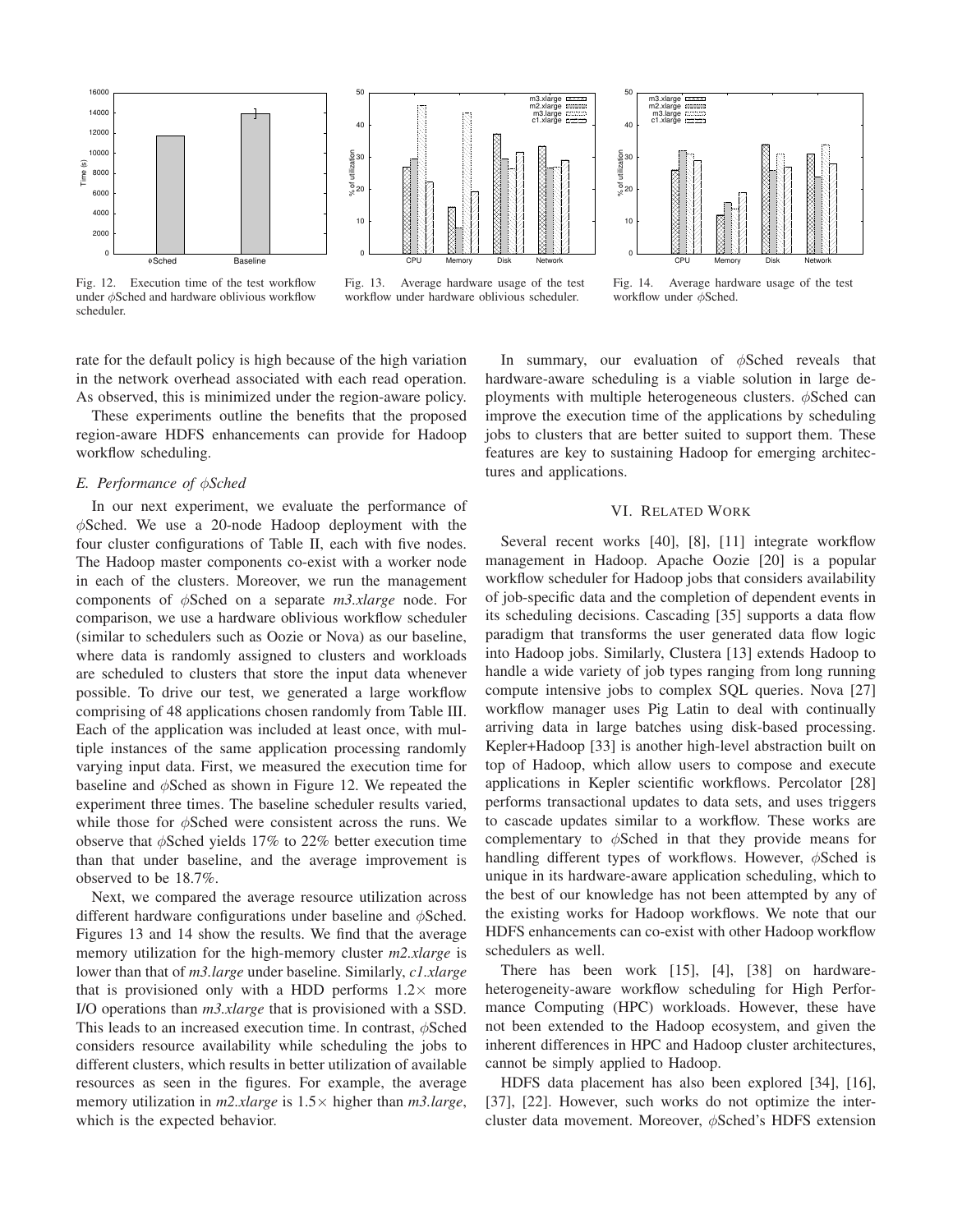

Fig. 12. Execution time of the test workflow under φSched and hardware oblivious workflow scheduler.



Fig. 13. Average hardware usage of the test workflow under hardware oblivious scheduler.



Fig. 14. Average hardware usage of the test workflow under φSched.

rate for the default policy is high because of the high variation in the network overhead associated with each read operation. As observed, this is minimized under the region-aware policy.

These experiments outline the benefits that the proposed region-aware HDFS enhancements can provide for Hadoop workflow scheduling.

#### *E. Performance of* φ*Sched*

In our next experiment, we evaluate the performance of  $\phi$ Sched. We use a 20-node Hadoop deployment with the four cluster configurations of Table II, each with five nodes. The Hadoop master components co-exist with a worker node in each of the clusters. Moreover, we run the management components of φSched on a separate *m3.xlarge* node. For comparison, we use a hardware oblivious workflow scheduler (similar to schedulers such as Oozie or Nova) as our baseline, where data is randomly assigned to clusters and workloads are scheduled to clusters that store the input data whenever possible. To drive our test, we generated a large workflow comprising of 48 applications chosen randomly from Table III. Each of the application was included at least once, with multiple instances of the same application processing randomly varying input data. First, we measured the execution time for baseline and  $\phi$ Sched as shown in Figure 12. We repeated the experiment three times. The baseline scheduler results varied, while those for  $\phi$ Sched were consistent across the runs. We observe that  $\phi$ Sched yields 17% to 22% better execution time than that under baseline, and the average improvement is observed to be 18.7%.

Next, we compared the average resource utilization across different hardware configurations under baseline and  $\phi$ Sched. Figures 13 and 14 show the results. We find that the average memory utilization for the high-memory cluster *m2.xlarge* is lower than that of *m3.large* under baseline. Similarly, *c1.xlarge* that is provisioned only with a HDD performs  $1.2 \times$  more I/O operations than *m3.xlarge* that is provisioned with a SSD. This leads to an increased execution time. In contrast,  $\phi$ Sched considers resource availability while scheduling the jobs to different clusters, which results in better utilization of available resources as seen in the figures. For example, the average memory utilization in *m2.xlarge* is 1.5× higher than *m3.large*, which is the expected behavior.

In summary, our evaluation of  $\phi$ Sched reveals that hardware-aware scheduling is a viable solution in large deployments with multiple heterogeneous clusters.  $\phi$ Sched can improve the execution time of the applications by scheduling jobs to clusters that are better suited to support them. These features are key to sustaining Hadoop for emerging architectures and applications.

### VI. RELATED WORK

Several recent works [40], [8], [11] integrate workflow management in Hadoop. Apache Oozie [20] is a popular workflow scheduler for Hadoop jobs that considers availability of job-specific data and the completion of dependent events in its scheduling decisions. Cascading [35] supports a data flow paradigm that transforms the user generated data flow logic into Hadoop jobs. Similarly, Clustera [13] extends Hadoop to handle a wide variety of job types ranging from long running compute intensive jobs to complex SQL queries. Nova [27] workflow manager uses Pig Latin to deal with continually arriving data in large batches using disk-based processing. Kepler+Hadoop [33] is another high-level abstraction built on top of Hadoop, which allow users to compose and execute applications in Kepler scientific workflows. Percolator [28] performs transactional updates to data sets, and uses triggers to cascade updates similar to a workflow. These works are complementary to  $\phi$ Sched in that they provide means for handling different types of workflows. However,  $\phi$ Sched is unique in its hardware-aware application scheduling, which to the best of our knowledge has not been attempted by any of the existing works for Hadoop workflows. We note that our HDFS enhancements can co-exist with other Hadoop workflow schedulers as well.

There has been work [15], [4], [38] on hardwareheterogeneity-aware workflow scheduling for High Performance Computing (HPC) workloads. However, these have not been extended to the Hadoop ecosystem, and given the inherent differences in HPC and Hadoop cluster architectures, cannot be simply applied to Hadoop.

HDFS data placement has also been explored [34], [16], [37], [22]. However, such works do not optimize the intercluster data movement. Moreover, φSched's HDFS extension